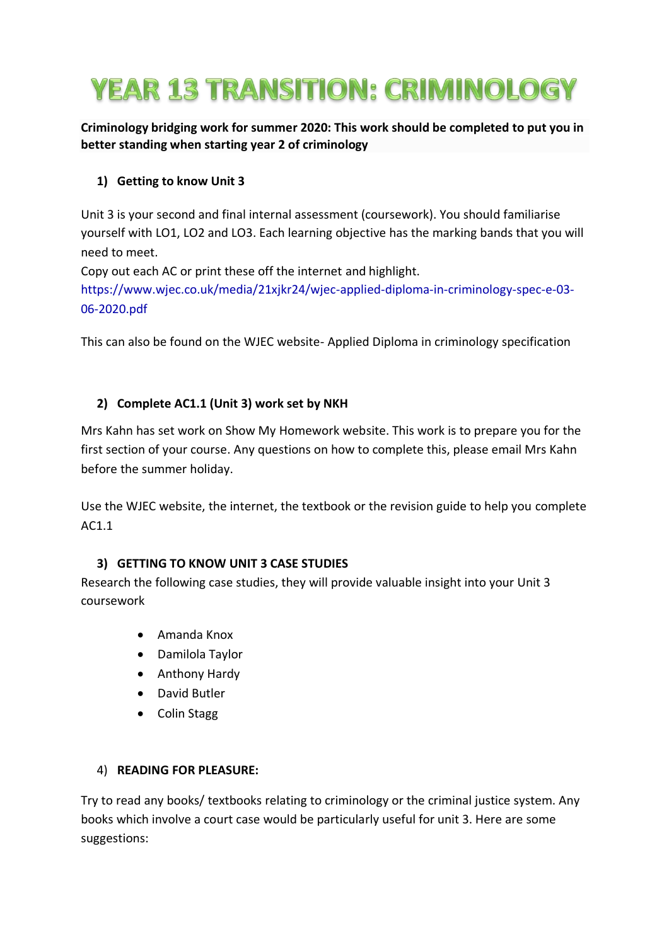# **YEAR 13 TRANSITION: CRIMINOLOGY**

**Criminology bridging work for summer 2020: This work should be completed to put you in better standing when starting year 2 of criminology**

# **1) Getting to know Unit 3**

Unit 3 is your second and final internal assessment (coursework). You should familiarise yourself with LO1, LO2 and LO3. Each learning objective has the marking bands that you will need to meet.

Copy out each AC or print these off the internet and highlight.

[https://www.wjec.co.uk/media/21xjkr24/wjec-applied-diploma-in-criminology-spec-e-03-](https://www.wjec.co.uk/media/21xjkr24/wjec-applied-diploma-in-criminology-spec-e-03-06-2020.pdf) [06-2020.pdf](https://www.wjec.co.uk/media/21xjkr24/wjec-applied-diploma-in-criminology-spec-e-03-06-2020.pdf)

This can also be found on the WJEC website- Applied Diploma in criminology specification

### **2) Complete AC1.1 (Unit 3) work set by NKH**

Mrs Kahn has set work on Show My Homework website. This work is to prepare you for the first section of your course. Any questions on how to complete this, please email Mrs Kahn before the summer holiday.

Use the WJEC website, the internet, the textbook or the revision guide to help you complete AC1.1

#### **3) GETTING TO KNOW UNIT 3 CASE STUDIES**

Research the following case studies, they will provide valuable insight into your Unit 3 coursework

- Amanda Knox
- Damilola Taylor
- Anthony Hardy
- David Butler
- Colin Stagg

#### 4) **READING FOR PLEASURE:**

Try to read any books/ textbooks relating to criminology or the criminal justice system. Any books which involve a court case would be particularly useful for unit 3. Here are some suggestions: